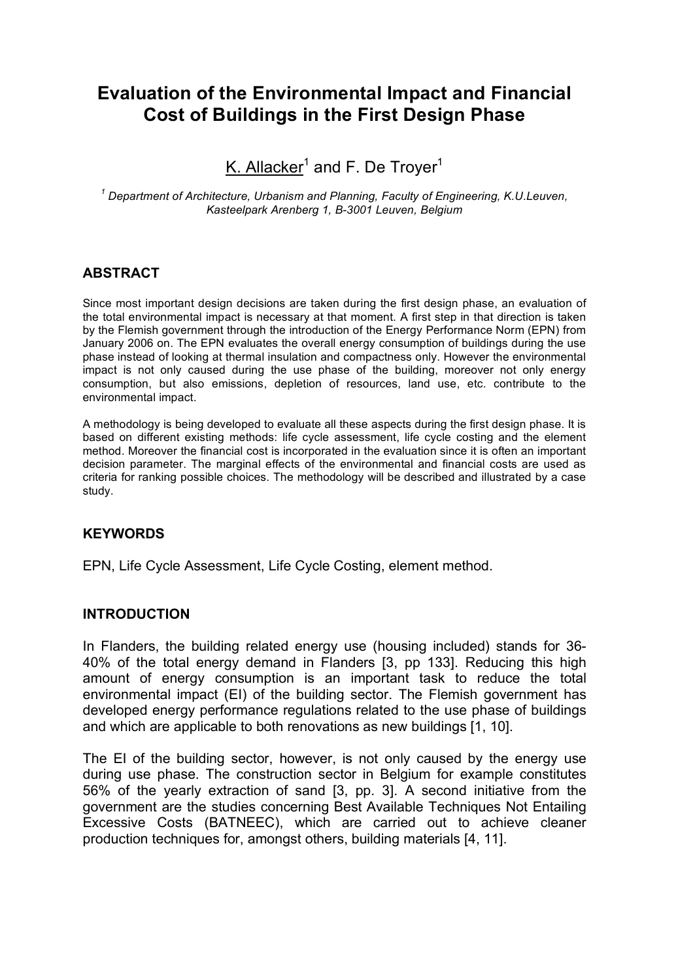# **Evaluation of the Environmental Impact and Financial Cost of Buildings in the First Design Phase**

<u>K. Allacker</u><sup>1</sup> and F. De Troyer<sup>1</sup>

*<sup>1</sup> Department of Architecture, Urbanism and Planning, Faculty of Engineering, K.U.Leuven, Kasteelpark Arenberg 1, B-3001 Leuven, Belgium*

# **ABSTRACT**

Since most important design decisions are taken during the first design phase, an evaluation of the total environmental impact is necessary at that moment. A first step in that direction is taken by the Flemish government through the introduction of the Energy Performance Norm (EPN) from January 2006 on. The EPN evaluates the overall energy consumption of buildings during the use phase instead of looking at thermal insulation and compactness only. However the environmental impact is not only caused during the use phase of the building, moreover not only energy consumption, but also emissions, depletion of resources, land use, etc. contribute to the environmental impact.

A methodology is being developed to evaluate all these aspects during the first design phase. It is based on different existing methods: life cycle assessment, life cycle costing and the element method. Moreover the financial cost is incorporated in the evaluation since it is often an important decision parameter. The marginal effects of the environmental and financial costs are used as criteria for ranking possible choices. The methodology will be described and illustrated by a case study.

# **KEYWORDS**

EPN, Life Cycle Assessment, Life Cycle Costing, element method.

# **INTRODUCTION**

In Flanders, the building related energy use (housing included) stands for 36- 40% of the total energy demand in Flanders [3, pp 133]. Reducing this high amount of energy consumption is an important task to reduce the total environmental impact (EI) of the building sector. The Flemish government has developed energy performance regulations related to the use phase of buildings and which are applicable to both renovations as new buildings [1, 10].

The EI of the building sector, however, is not only caused by the energy use during use phase. The construction sector in Belgium for example constitutes 56% of the yearly extraction of sand [3, pp. 3]. A second initiative from the government are the studies concerning Best Available Techniques Not Entailing Excessive Costs (BATNEEC), which are carried out to achieve cleaner production techniques for, amongst others, building materials [4, 11].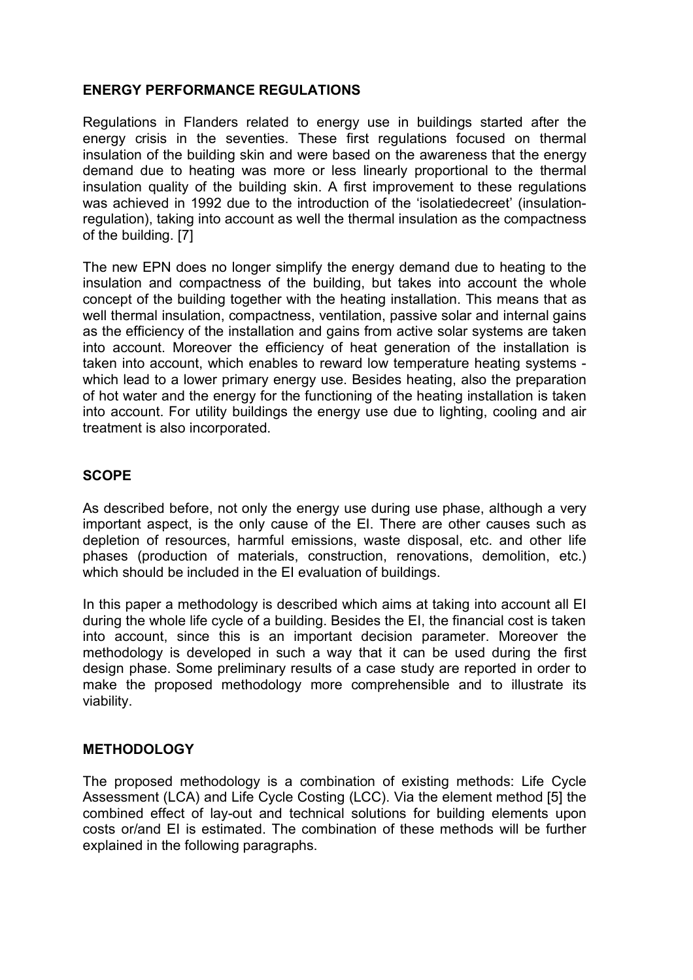# **ENERGY PERFORMANCE REGULATIONS**

Regulations in Flanders related to energy use in buildings started after the energy crisis in the seventies. These first regulations focused on thermal insulation of the building skin and were based on the awareness that the energy demand due to heating was more or less linearly proportional to the thermal insulation quality of the building skin. A first improvement to these regulations was achieved in 1992 due to the introduction of the 'isolatiedecreet' (insulationregulation), taking into account as well the thermal insulation as the compactness of the building. [7]

The new EPN does no longer simplify the energy demand due to heating to the insulation and compactness of the building, but takes into account the whole concept of the building together with the heating installation. This means that as well thermal insulation, compactness, ventilation, passive solar and internal gains as the efficiency of the installation and gains from active solar systems are taken into account. Moreover the efficiency of heat generation of the installation is taken into account, which enables to reward low temperature heating systems which lead to a lower primary energy use. Besides heating, also the preparation of hot water and the energy for the functioning of the heating installation is taken into account. For utility buildings the energy use due to lighting, cooling and air treatment is also incorporated.

# **SCOPE**

As described before, not only the energy use during use phase, although a very important aspect, is the only cause of the EI. There are other causes such as depletion of resources, harmful emissions, waste disposal, etc. and other life phases (production of materials, construction, renovations, demolition, etc.) which should be included in the EI evaluation of buildings.

In this paper a methodology is described which aims at taking into account all EI during the whole life cycle of a building. Besides the EI, the financial cost is taken into account, since this is an important decision parameter. Moreover the methodology is developed in such a way that it can be used during the first design phase. Some preliminary results of a case study are reported in order to make the proposed methodology more comprehensible and to illustrate its viability.

# **METHODOLOGY**

The proposed methodology is a combination of existing methods: Life Cycle Assessment (LCA) and Life Cycle Costing (LCC). Via the element method [5] the combined effect of lay-out and technical solutions for building elements upon costs or/and EI is estimated. The combination of these methods will be further explained in the following paragraphs.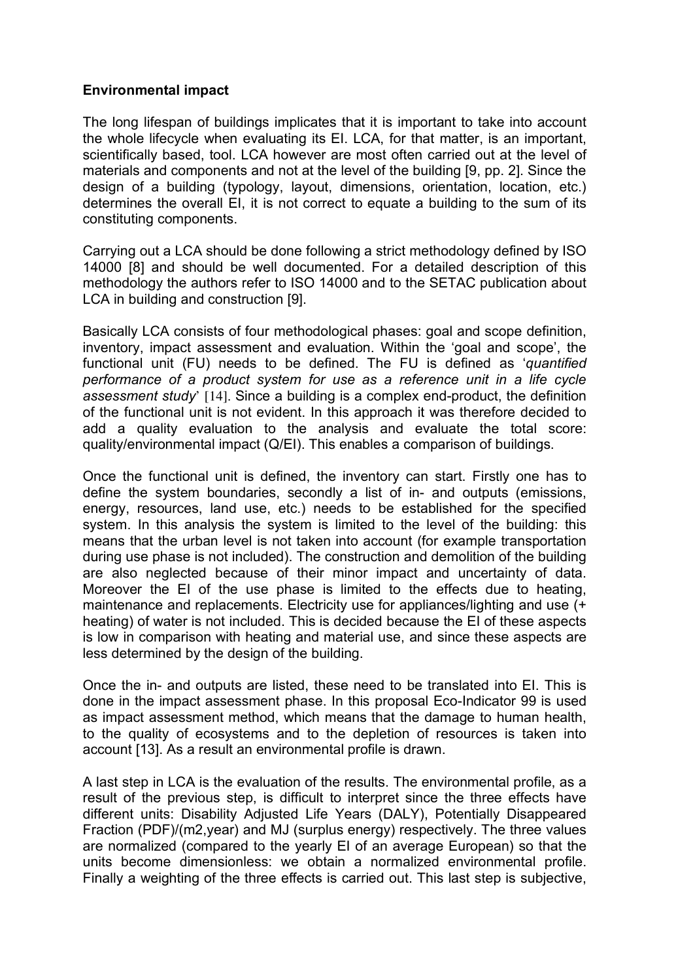# **Environmental impact**

The long lifespan of buildings implicates that it is important to take into account the whole lifecycle when evaluating its EI. LCA, for that matter, is an important, scientifically based, tool. LCA however are most often carried out at the level of materials and components and not at the level of the building [9, pp. 2]. Since the design of a building (typology, layout, dimensions, orientation, location, etc.) determines the overall EI, it is not correct to equate a building to the sum of its constituting components.

Carrying out a LCA should be done following a strict methodology defined by ISO 14000 [8] and should be well documented. For a detailed description of this methodology the authors refer to ISO 14000 and to the SETAC publication about LCA in building and construction [9].

Basically LCA consists of four methodological phases: goal and scope definition, inventory, impact assessment and evaluation. Within the 'goal and scope', the functional unit (FU) needs to be defined. The FU is defined as '*quantified performance of a product system for use as a reference unit in a life cycle assessment study*' [14]. Since a building is a complex end-product, the definition of the functional unit is not evident. In this approach it was therefore decided to add a quality evaluation to the analysis and evaluate the total score: quality/environmental impact (Q/EI). This enables a comparison of buildings.

Once the functional unit is defined, the inventory can start. Firstly one has to define the system boundaries, secondly a list of in- and outputs (emissions, energy, resources, land use, etc.) needs to be established for the specified system. In this analysis the system is limited to the level of the building: this means that the urban level is not taken into account (for example transportation during use phase is not included). The construction and demolition of the building are also neglected because of their minor impact and uncertainty of data. Moreover the EI of the use phase is limited to the effects due to heating, maintenance and replacements. Electricity use for appliances/lighting and use (+ heating) of water is not included. This is decided because the EI of these aspects is low in comparison with heating and material use, and since these aspects are less determined by the design of the building.

Once the in- and outputs are listed, these need to be translated into EI. This is done in the impact assessment phase. In this proposal Eco-Indicator 99 is used as impact assessment method, which means that the damage to human health, to the quality of ecosystems and to the depletion of resources is taken into account [13]. As a result an environmental profile is drawn.

A last step in LCA is the evaluation of the results. The environmental profile, as a result of the previous step, is difficult to interpret since the three effects have different units: Disability Adjusted Life Years (DALY), Potentially Disappeared Fraction (PDF)/(m2,year) and MJ (surplus energy) respectively. The three values are normalized (compared to the yearly EI of an average European) so that the units become dimensionless: we obtain a normalized environmental profile. Finally a weighting of the three effects is carried out. This last step is subjective,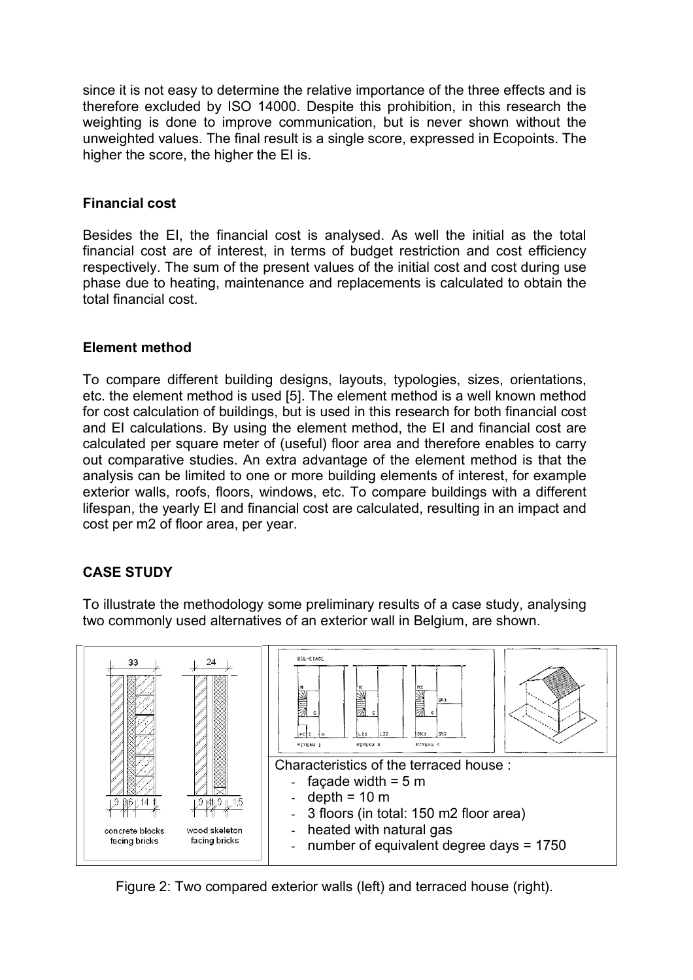since it is not easy to determine the relative importance of the three effects and is therefore excluded by ISO 14000. Despite this prohibition, in this research the weighting is done to improve communication, but is never shown without the unweighted values. The final result is a single score, expressed in Ecopoints. The higher the score, the higher the EI is.

# **Financial cost**

Besides the EI, the financial cost is analysed. As well the initial as the total financial cost are of interest, in terms of budget restriction and cost efficiency respectively. The sum of the present values of the initial cost and cost during use phase due to heating, maintenance and replacements is calculated to obtain the total financial cost.

# **Element method**

To compare different building designs, layouts, typologies, sizes, orientations, etc. the element method is used [5]. The element method is a well known method for cost calculation of buildings, but is used in this research for both financial cost and EI calculations. By using the element method, the EI and financial cost are calculated per square meter of (useful) floor area and therefore enables to carry out comparative studies. An extra advantage of the element method is that the analysis can be limited to one or more building elements of interest, for example exterior walls, roofs, floors, windows, etc. To compare buildings with a different lifespan, the yearly EI and financial cost are calculated, resulting in an impact and cost per m2 of floor area, per year.

# **CASE STUDY**

To illustrate the methodology some preliminary results of a case study, analysing two commonly used alternatives of an exterior wall in Belgium, are shown.



Figure 2: Two compared exterior walls (left) and terraced house (right).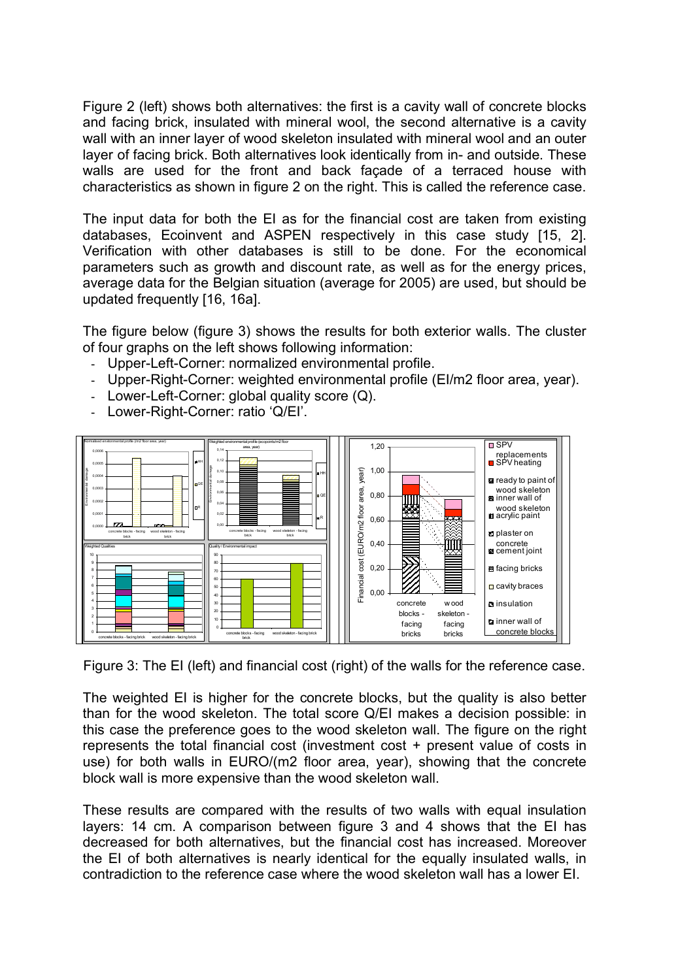Figure 2 (left) shows both alternatives: the first is a cavity wall of concrete blocks and facing brick, insulated with mineral wool, the second alternative is a cavity wall with an inner layer of wood skeleton insulated with mineral wool and an outer layer of facing brick. Both alternatives look identically from in- and outside. These walls are used for the front and back façade of a terraced house with characteristics as shown in figure 2 on the right. This is called the reference case.

The input data for both the EI as for the financial cost are taken from existing databases, Ecoinvent and ASPEN respectively in this case study [15, 2]. Verification with other databases is still to be done. For the economical parameters such as growth and discount rate, as well as for the energy prices, average data for the Belgian situation (average for 2005) are used, but should be updated frequently [16, 16a].

The figure below (figure 3) shows the results for both exterior walls. The cluster of four graphs on the left shows following information:

- Upper-Left-Corner: normalized environmental profile.
- Upper-Right-Corner: weighted environmental profile (EI/m2 floor area, vear).
- Lower-Left-Corner: global quality score (Q).

0,00 0,02

Quality/ Environmental impact

concrete blocks - facing brick

concrete blocks - facing brick



wood skeleton - facing brick

wood skeleton - facing brick

R

Lower-Right-Corner: ratio 'Q/EI'.

0,0000 0,0001

Weighted Qualities

concrete blocks - facing brick

wood skeleton - facing brick

concrete blocks - facing brick wood skeleton - facing brick



0,00

Fin a n cial c

o st (E

concrete blocks facing bricks

w ood skeleton facing bricks

m

 $\overline{\Box}$ SPV

replacements SPVheating **a** ready to paint of wood skeleton **EX** inner wall of wood skeleton **acrylic paint** plaster on concrete **s** cement joint  $\equiv$  facing bricks  $\Box$  cavity braces **a** insulation inner wall of concrete block

0,20

0,40 0,60

The weighted EI is higher for the concrete blocks, but the quality is also better than for the wood skeleton. The total score Q/EI makes a decision possible: in this case the preference goes to the wood skeleton wall. The figure on the right represents the total financial cost (investment cost + present value of costs in use) for both walls in EURO/(m2 floor area, year), showing that the concrete block wall is more expensive than the wood skeleton wall.

These results are compared with the results of two walls with equal insulation layers: 14 cm. A comparison between figure 3 and 4 shows that the EI has decreased for both alternatives, but the financial cost has increased. Moreover the EI of both alternatives is nearly identical for the equally insulated walls, in contradiction to the reference case where the wood skeleton wall has a lower EI.